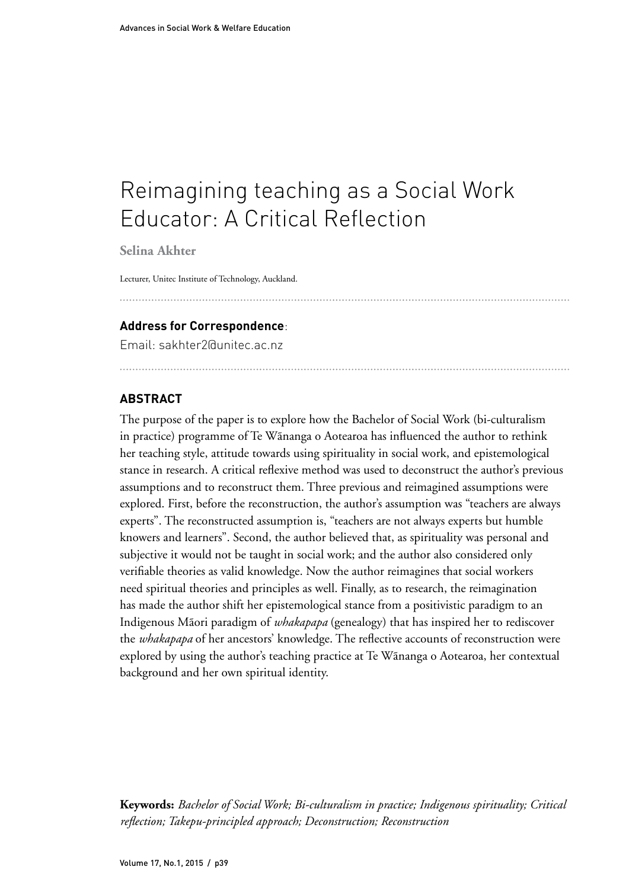# Reimagining teaching as a Social Work Educator: A Critical Reflection

**Selina Akhter**

Lecturer, Unitec Institute of Technology, Auckland.

#### **Address for Correspondence**:

Email: sakhter2@unitec.ac.nz

## **ABSTRACT**

The purpose of the paper is to explore how the Bachelor of Social Work (bi-culturalism in practice) programme of Te Wãnanga o Aotearoa has influenced the author to rethink her teaching style, attitude towards using spirituality in social work, and epistemological stance in research. A critical reflexive method was used to deconstruct the author's previous assumptions and to reconstruct them. Three previous and reimagined assumptions were explored. First, before the reconstruction, the author's assumption was "teachers are always experts". The reconstructed assumption is, "teachers are not always experts but humble knowers and learners". Second, the author believed that, as spirituality was personal and subjective it would not be taught in social work; and the author also considered only verifiable theories as valid knowledge. Now the author reimagines that social workers need spiritual theories and principles as well. Finally, as to research, the reimagination has made the author shift her epistemological stance from a positivistic paradigm to an Indigenous Mãori paradigm of *whakapapa* (genealogy) that has inspired her to rediscover the *whakapapa* of her ancestors' knowledge. The reflective accounts of reconstruction were explored by using the author's teaching practice at Te Wãnanga o Aotearoa, her contextual background and her own spiritual identity.

**Keywords:** *Bachelor of Social Work; Bi-culturalism in practice; Indigenous spirituality; Critical reflection; Takepu-principled approach; Deconstruction; Reconstruction*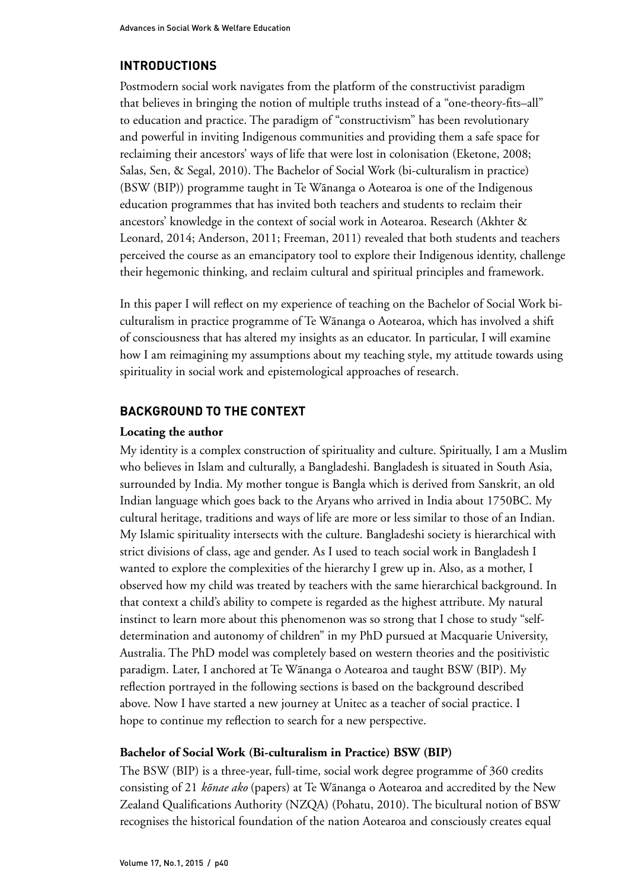## **INTRODUCTIONS**

Postmodern social work navigates from the platform of the constructivist paradigm that believes in bringing the notion of multiple truths instead of a "one-theory-fits–all" to education and practice. The paradigm of "constructivism" has been revolutionary and powerful in inviting Indigenous communities and providing them a safe space for reclaiming their ancestors' ways of life that were lost in colonisation (Eketone, 2008; Salas, Sen, & Segal, 2010). The Bachelor of Social Work (bi-culturalism in practice) (BSW (BIP)) programme taught in Te Wãnanga o Aotearoa is one of the Indigenous education programmes that has invited both teachers and students to reclaim their ancestors' knowledge in the context of social work in Aotearoa. Research (Akhter & Leonard, 2014; Anderson, 2011; Freeman, 2011) revealed that both students and teachers perceived the course as an emancipatory tool to explore their Indigenous identity, challenge their hegemonic thinking, and reclaim cultural and spiritual principles and framework.

In this paper I will reflect on my experience of teaching on the Bachelor of Social Work biculturalism in practice programme of Te Wãnanga o Aotearoa, which has involved a shift of consciousness that has altered my insights as an educator. In particular, I will examine how I am reimagining my assumptions about my teaching style, my attitude towards using spirituality in social work and epistemological approaches of research.

## **BACKGROUND TO THE CONTEXT**

#### **Locating the author**

My identity is a complex construction of spirituality and culture. Spiritually, I am a Muslim who believes in Islam and culturally, a Bangladeshi. Bangladesh is situated in South Asia, surrounded by India. My mother tongue is Bangla which is derived from Sanskrit, an old Indian language which goes back to the Aryans who arrived in India about 1750BC. My cultural heritage, traditions and ways of life are more or less similar to those of an Indian. My Islamic spirituality intersects with the culture. Bangladeshi society is hierarchical with strict divisions of class, age and gender. As I used to teach social work in Bangladesh I wanted to explore the complexities of the hierarchy I grew up in. Also, as a mother, I observed how my child was treated by teachers with the same hierarchical background. In that context a child's ability to compete is regarded as the highest attribute. My natural instinct to learn more about this phenomenon was so strong that I chose to study "selfdetermination and autonomy of children" in my PhD pursued at Macquarie University, Australia. The PhD model was completely based on western theories and the positivistic paradigm. Later, I anchored at Te Wãnanga o Aotearoa and taught BSW (BIP). My reflection portrayed in the following sections is based on the background described above. Now I have started a new journey at Unitec as a teacher of social practice. I hope to continue my reflection to search for a new perspective.

#### **Bachelor of Social Work (Bi-culturalism in Practice) BSW (BIP)**

The BSW (BIP) is a three-year, full-time, social work degree programme of 360 credits consisting of 21 *kõnae ako* (papers) at Te Wãnanga o Aotearoa and accredited by the New Zealand Qualifications Authority (NZQA) (Pohatu, 2010). The bicultural notion of BSW recognises the historical foundation of the nation Aotearoa and consciously creates equal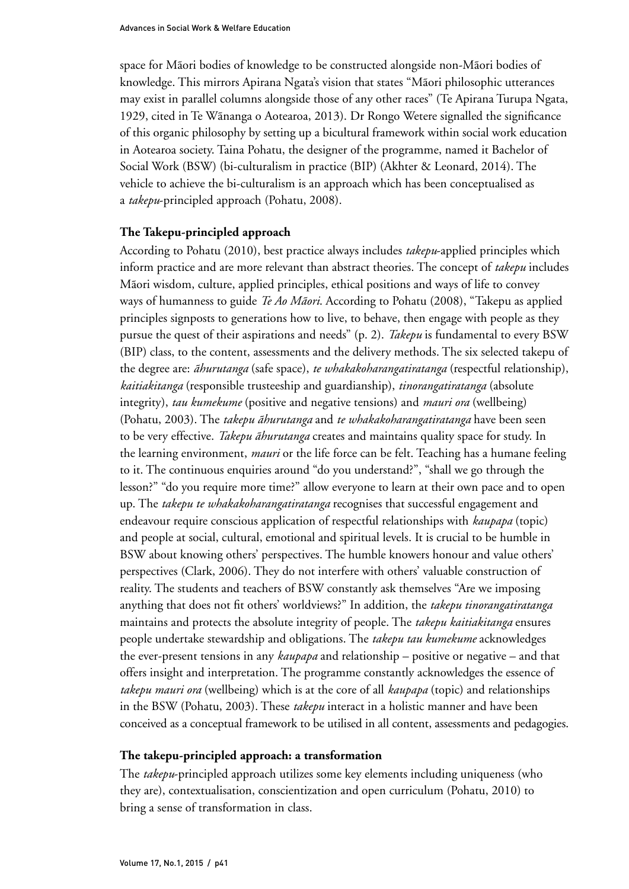space for Mãori bodies of knowledge to be constructed alongside non-Mãori bodies of knowledge. This mirrors Apirana Ngata's vision that states "Mãori philosophic utterances may exist in parallel columns alongside those of any other races" (Te Apirana Turupa Ngata, 1929, cited in Te Wãnanga o Aotearoa, 2013). Dr Rongo Wetere signalled the significance of this organic philosophy by setting up a bicultural framework within social work education in Aotearoa society. Taina Pohatu, the designer of the programme, named it Bachelor of Social Work (BSW) (bi-culturalism in practice (BIP) (Akhter & Leonard, 2014). The vehicle to achieve the bi-culturalism is an approach which has been conceptualised as a *takepu*-principled approach (Pohatu, 2008).

#### **The Takepu-principled approach**

According to Pohatu (2010), best practice always includes *takepu*-applied principles which inform practice and are more relevant than abstract theories. The concept of *takepu* includes Mãori wisdom, culture, applied principles, ethical positions and ways of life to convey ways of humanness to guide *Te Ao Mãori*. According to Pohatu (2008), "Takepu as applied principles signposts to generations how to live, to behave, then engage with people as they pursue the quest of their aspirations and needs" (p. 2). *Takepu* is fundamental to every BSW (BIP) class, to the content, assessments and the delivery methods. The six selected takepu of the degree are: *ãhurutanga* (safe space), *te whakakoharangatiratanga* (respectful relationship), *kaitiakitanga* (responsible trusteeship and guardianship), *tinorangatiratanga* (absolute integrity), *tau kumekume* (positive and negative tensions) and *mauri ora* (wellbeing) (Pohatu, 2003). The *takepu ãhurutanga* and *te whakakoharangatiratanga* have been seen to be very effective. *Takepu ãhurutanga* creates and maintains quality space for study. In the learning environment, *mauri* or the life force can be felt. Teaching has a humane feeling to it. The continuous enquiries around "do you understand?", "shall we go through the lesson?" "do you require more time?" allow everyone to learn at their own pace and to open up. The *takepu te whakakoharangatiratanga* recognises that successful engagement and endeavour require conscious application of respectful relationships with *kaupapa* (topic) and people at social, cultural, emotional and spiritual levels. It is crucial to be humble in BSW about knowing others' perspectives. The humble knowers honour and value others' perspectives (Clark, 2006). They do not interfere with others' valuable construction of reality. The students and teachers of BSW constantly ask themselves "Are we imposing anything that does not fit others' worldviews?" In addition, the *takepu tinorangatiratanga* maintains and protects the absolute integrity of people. The *takepu kaitiakitanga* ensures people undertake stewardship and obligations. The *takepu tau kumekume* acknowledges the ever-present tensions in any *kaupapa* and relationship – positive or negative – and that offers insight and interpretation. The programme constantly acknowledges the essence of *takepu mauri ora* (wellbeing) which is at the core of all *kaupapa* (topic) and relationships in the BSW (Pohatu, 2003). These *takepu* interact in a holistic manner and have been conceived as a conceptual framework to be utilised in all content, assessments and pedagogies.

#### **The takepu-principled approach: a transformation**

The *takepu*-principled approach utilizes some key elements including uniqueness (who they are), contextualisation, conscientization and open curriculum (Pohatu, 2010) to bring a sense of transformation in class.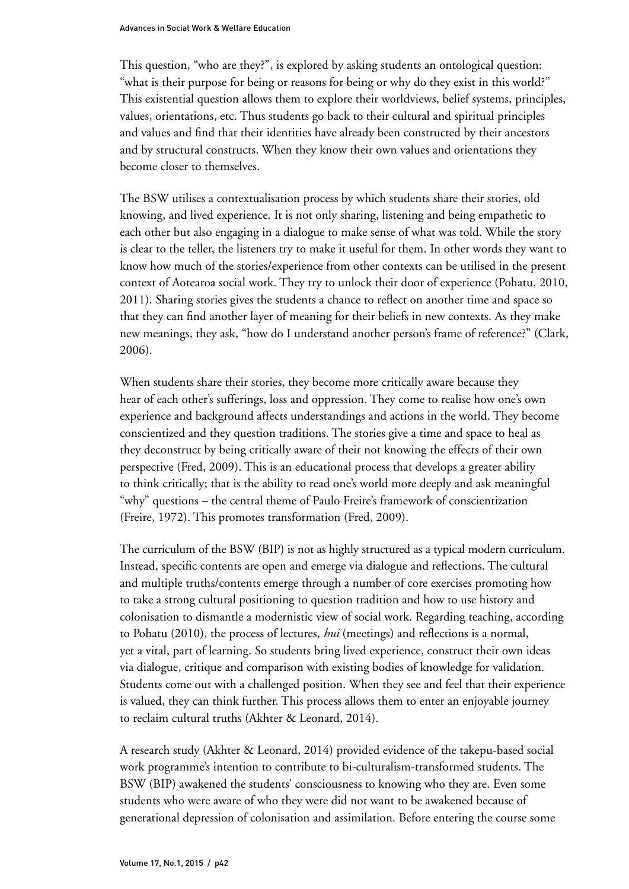This question, "who are they?", is explored by asking students an ontological question: "what is their purpose for being or reasons for being or why do they exist in this world?" This existential question allows them to explore their worldviews, belief systems, principles, values, orientations, etc. Thus students go back to their cultural and spiritual principles and values and find that their identities have already been constructed by their ancestors and by structural constructs. When they know their own values and orientations they become closer to themselves.

The BSW utilises a contextualisation process by which students share their stories, old knowing, and lived experience. It is not only sharing, listening and being empathetic to each other but also engaging in a dialogue to make sense of what was told. While the story is clear to the teller, the listeners try to make it useful for them. In other words they want to know how much of the stories/experience from other contexts can be utilised in the present context of Aotearoa social work. They try to unlock their door of experience (Pohatu, 2010, 2011). Sharing stories gives the students a chance to reflect on another time and space so that they can find another layer of meaning for their beliefs in new contexts. As they make new meanings, they ask, "how do I understand another person's frame of reference?" (Clark, 2006).

When students share their stories, they become more critically aware because they hear of each other's sufferings, loss and oppression. They come to realise how one's own experience and background affects understandings and actions in the world. They become conscientized and they question traditions. The stories give a time and space to heal as they deconstruct by being critically aware of their not knowing the effects of their own perspective (Fred, 2009). This is an educational process that develops a greater ability to think critically; that is the ability to read one's world more deeply and ask meaningful "why" questions – the central theme of Paulo Freire's framework of conscientization (Freire, 1972). This promotes transformation (Fred, 2009).

The curriculum of the BSW (BIP) is not as highly structured as a typical modern curriculum. Instead, specific contents are open and emerge via dialogue and reflections. The cultural and multiple truths/contents emerge through a number of core exercises promoting how to take a strong cultural positioning to question tradition and how to use history and colonisation to dismantle a modernistic view of social work. Regarding teaching, according to Pohatu (2010), the process of lectures, *hui* (meetings) and reflections is a normal, yet a vital, part of learning. So students bring lived experience, construct their own ideas via dialogue, critique and comparison with existing bodies of knowledge for validation. Students come out with a challenged position. When they see and feel that their experience is valued, they can think further. This process allows them to enter an enjoyable journey to reclaim cultural truths (Akhter & Leonard, 2014).

A research study (Akhter & Leonard, 2014) provided evidence of the takepu-based social work programme's intention to contribute to bi-culturalism-transformed students. The BSW (BIP) awakened the students' consciousness to knowing who they are. Even some students who were aware of who they were did not want to be awakened because of generational depression of colonisation and assimilation. Before entering the course some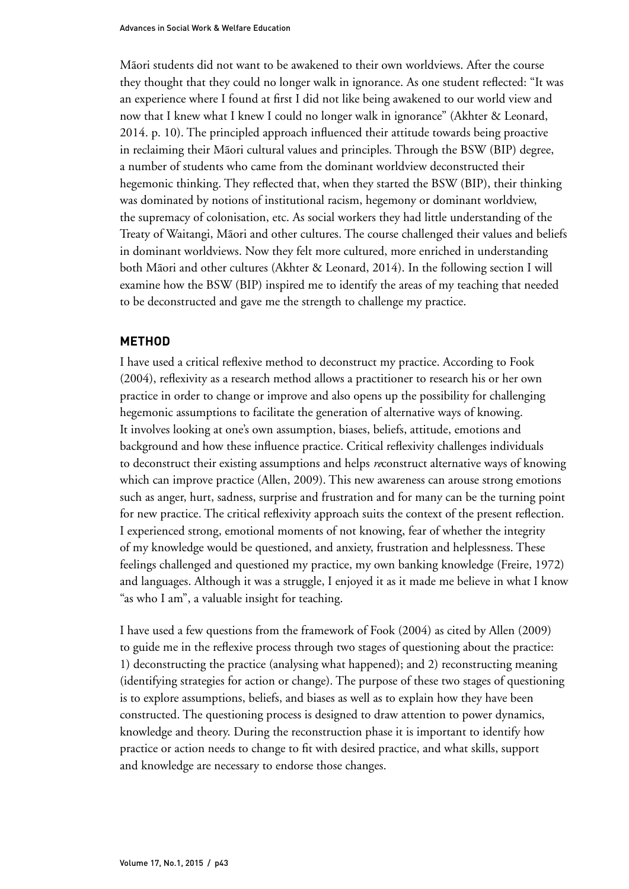Mãori students did not want to be awakened to their own worldviews. After the course they thought that they could no longer walk in ignorance. As one student reflected: "It was an experience where I found at first I did not like being awakened to our world view and now that I knew what I knew I could no longer walk in ignorance" (Akhter & Leonard, 2014. p. 10). The principled approach influenced their attitude towards being proactive in reclaiming their Mãori cultural values and principles. Through the BSW (BIP) degree, a number of students who came from the dominant worldview deconstructed their hegemonic thinking. They reflected that, when they started the BSW (BIP), their thinking was dominated by notions of institutional racism, hegemony or dominant worldview, the supremacy of colonisation, etc. As social workers they had little understanding of the Treaty of Waitangi, Mãori and other cultures. The course challenged their values and beliefs in dominant worldviews. Now they felt more cultured, more enriched in understanding both Mãori and other cultures (Akhter & Leonard, 2014). In the following section I will examine how the BSW (BIP) inspired me to identify the areas of my teaching that needed to be deconstructed and gave me the strength to challenge my practice.

## **METHOD**

I have used a critical reflexive method to deconstruct my practice. According to Fook (2004), reflexivity as a research method allows a practitioner to research his or her own practice in order to change or improve and also opens up the possibility for challenging hegemonic assumptions to facilitate the generation of alternative ways of knowing. It involves looking at one's own assumption, biases, beliefs, attitude, emotions and background and how these influence practice. Critical reflexivity challenges individuals to deconstruct their existing assumptions and helps *re*construct alternative ways of knowing which can improve practice (Allen, 2009). This new awareness can arouse strong emotions such as anger, hurt, sadness, surprise and frustration and for many can be the turning point for new practice. The critical reflexivity approach suits the context of the present reflection. I experienced strong, emotional moments of not knowing, fear of whether the integrity of my knowledge would be questioned, and anxiety, frustration and helplessness. These feelings challenged and questioned my practice, my own banking knowledge (Freire, 1972) and languages. Although it was a struggle, I enjoyed it as it made me believe in what I know "as who I am", a valuable insight for teaching.

I have used a few questions from the framework of Fook (2004) as cited by Allen (2009) to guide me in the reflexive process through two stages of questioning about the practice: 1) deconstructing the practice (analysing what happened); and 2) reconstructing meaning (identifying strategies for action or change). The purpose of these two stages of questioning is to explore assumptions, beliefs, and biases as well as to explain how they have been constructed. The questioning process is designed to draw attention to power dynamics, knowledge and theory. During the reconstruction phase it is important to identify how practice or action needs to change to fit with desired practice, and what skills, support and knowledge are necessary to endorse those changes.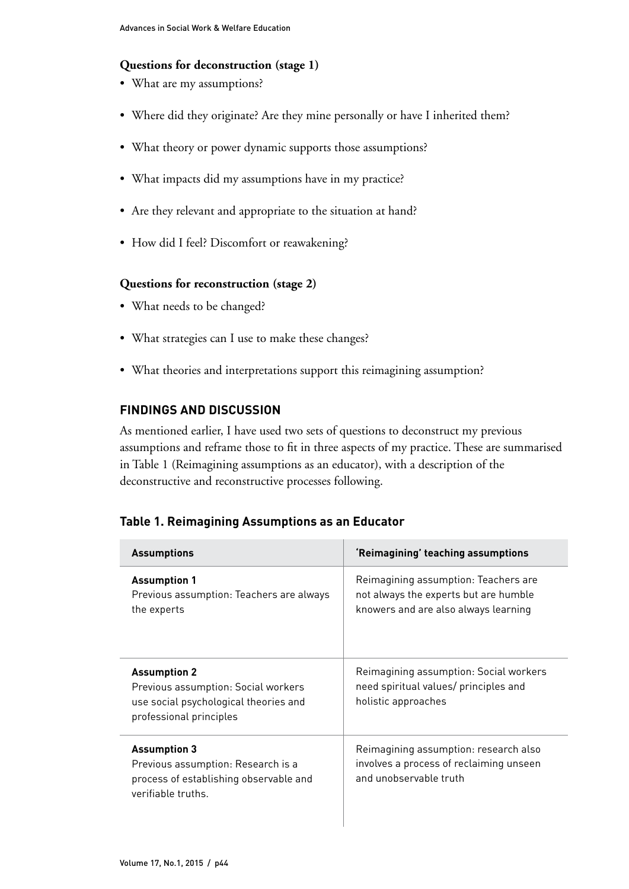## **Questions for deconstruction (stage 1)**

- What are my assumptions?
- Where did they originate? Are they mine personally or have I inherited them?
- What theory or power dynamic supports those assumptions?
- What impacts did my assumptions have in my practice?
- Are they relevant and appropriate to the situation at hand?
- How did I feel? Discomfort or reawakening?

#### **Questions for reconstruction (stage 2)**

- What needs to be changed?
- What strategies can I use to make these changes?
- What theories and interpretations support this reimagining assumption?

## **FINDINGS AND DISCUSSION**

As mentioned earlier, I have used two sets of questions to deconstruct my previous assumptions and reframe those to fit in three aspects of my practice. These are summarised in Table 1 (Reimagining assumptions as an educator), with a description of the deconstructive and reconstructive processes following.

## **Table 1. Reimagining Assumptions as an Educator**

| <b>Assumptions</b>                                                                                                             | 'Reimagining' teaching assumptions                                                                                    |
|--------------------------------------------------------------------------------------------------------------------------------|-----------------------------------------------------------------------------------------------------------------------|
| <b>Assumption 1</b><br>Previous assumption: Teachers are always<br>the experts                                                 | Reimagining assumption: Teachers are<br>not always the experts but are humble<br>knowers and are also always learning |
| <b>Assumption 2</b><br>Previous assumption: Social workers<br>use social psychological theories and<br>professional principles | Reimagining assumption: Social workers<br>need spiritual values/ principles and<br>holistic approaches                |
| <b>Assumption 3</b><br>Previous assumption: Research is a<br>process of establishing observable and<br>verifiable truths.      | Reimagining assumption: research also<br>involves a process of reclaiming unseen<br>and unobservable truth            |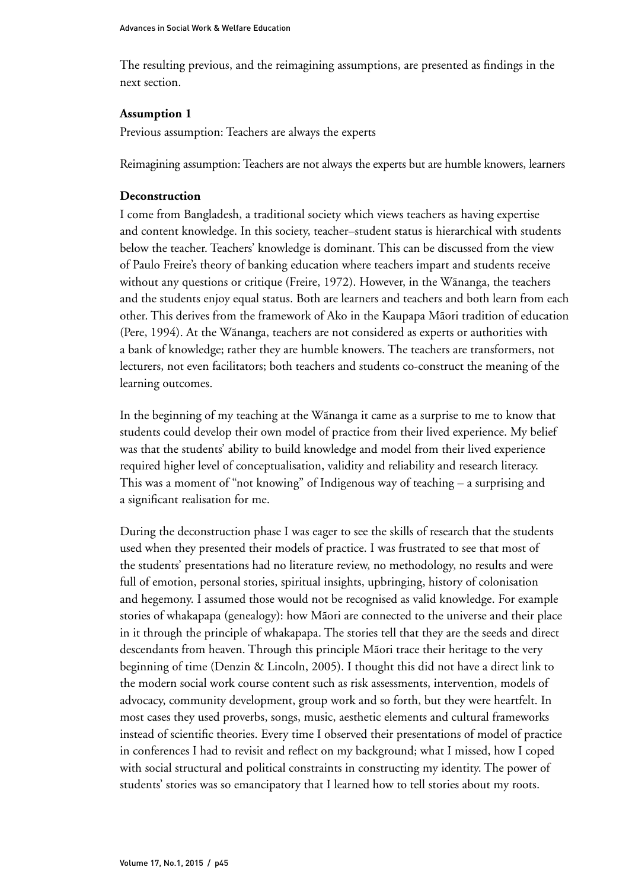The resulting previous, and the reimagining assumptions, are presented as findings in the next section.

## **Assumption 1**

Previous assumption: Teachers are always the experts

Reimagining assumption: Teachers are not always the experts but are humble knowers, learners

## **Deconstruction**

I come from Bangladesh, a traditional society which views teachers as having expertise and content knowledge. In this society, teacher–student status is hierarchical with students below the teacher. Teachers' knowledge is dominant. This can be discussed from the view of Paulo Freire's theory of banking education where teachers impart and students receive without any questions or critique (Freire, 1972). However, in the Wãnanga, the teachers and the students enjoy equal status. Both are learners and teachers and both learn from each other. This derives from the framework of Ako in the Kaupapa Mãori tradition of education (Pere, 1994). At the Wãnanga, teachers are not considered as experts or authorities with a bank of knowledge; rather they are humble knowers. The teachers are transformers, not lecturers, not even facilitators; both teachers and students co-construct the meaning of the learning outcomes.

In the beginning of my teaching at the Wãnanga it came as a surprise to me to know that students could develop their own model of practice from their lived experience. My belief was that the students' ability to build knowledge and model from their lived experience required higher level of conceptualisation, validity and reliability and research literacy. This was a moment of "not knowing" of Indigenous way of teaching – a surprising and a significant realisation for me.

During the deconstruction phase I was eager to see the skills of research that the students used when they presented their models of practice. I was frustrated to see that most of the students' presentations had no literature review, no methodology, no results and were full of emotion, personal stories, spiritual insights, upbringing, history of colonisation and hegemony. I assumed those would not be recognised as valid knowledge. For example stories of whakapapa (genealogy): how Mãori are connected to the universe and their place in it through the principle of whakapapa. The stories tell that they are the seeds and direct descendants from heaven. Through this principle Mãori trace their heritage to the very beginning of time (Denzin & Lincoln, 2005). I thought this did not have a direct link to the modern social work course content such as risk assessments, intervention, models of advocacy, community development, group work and so forth, but they were heartfelt. In most cases they used proverbs, songs, music, aesthetic elements and cultural frameworks instead of scientific theories. Every time I observed their presentations of model of practice in conferences I had to revisit and reflect on my background; what I missed, how I coped with social structural and political constraints in constructing my identity. The power of students' stories was so emancipatory that I learned how to tell stories about my roots.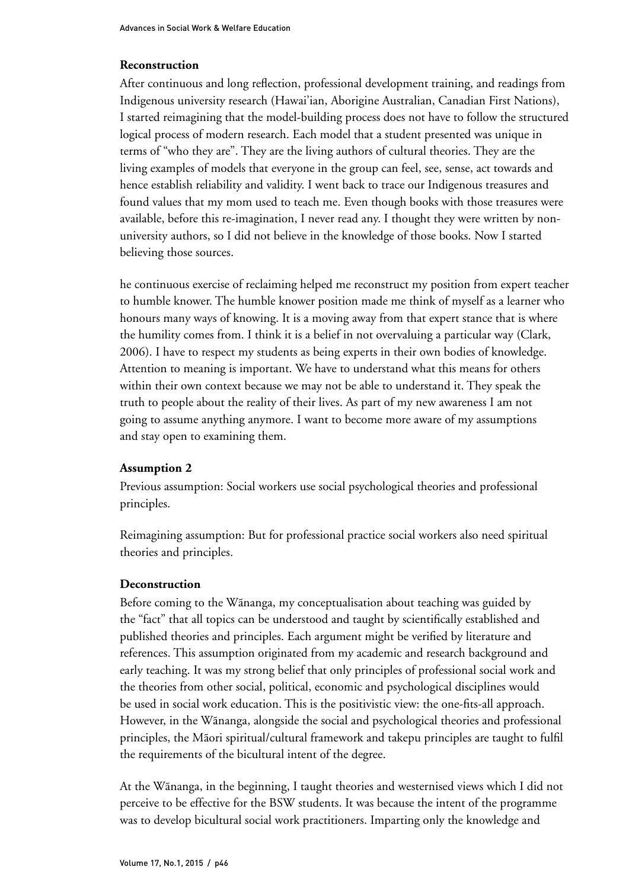## **Reconstruction**

After continuous and long reflection, professional development training, and readings from Indigenous university research (Hawai'ian, Aborigine Australian, Canadian First Nations), I started reimagining that the model-building process does not have to follow the structured logical process of modern research. Each model that a student presented was unique in terms of "who they are". They are the living authors of cultural theories. They are the living examples of models that everyone in the group can feel, see, sense, act towards and hence establish reliability and validity. I went back to trace our Indigenous treasures and found values that my mom used to teach me. Even though books with those treasures were available, before this re-imagination, I never read any. I thought they were written by nonuniversity authors, so I did not believe in the knowledge of those books. Now I started believing those sources.

he continuous exercise of reclaiming helped me reconstruct my position from expert teacher to humble knower. The humble knower position made me think of myself as a learner who honours many ways of knowing. It is a moving away from that expert stance that is where the humility comes from. I think it is a belief in not overvaluing a particular way (Clark, 2006). I have to respect my students as being experts in their own bodies of knowledge. Attention to meaning is important. We have to understand what this means for others within their own context because we may not be able to understand it. They speak the truth to people about the reality of their lives. As part of my new awareness I am not going to assume anything anymore. I want to become more aware of my assumptions and stay open to examining them.

## **Assumption 2**

Previous assumption: Social workers use social psychological theories and professional principles.

Reimagining assumption: But for professional practice social workers also need spiritual theories and principles.

#### **Deconstruction**

Before coming to the Wãnanga, my conceptualisation about teaching was guided by the "fact" that all topics can be understood and taught by scientifically established and published theories and principles. Each argument might be verified by literature and references. This assumption originated from my academic and research background and early teaching. It was my strong belief that only principles of professional social work and the theories from other social, political, economic and psychological disciplines would be used in social work education. This is the positivistic view: the one-fits-all approach. However, in the Wãnanga, alongside the social and psychological theories and professional principles, the Mãori spiritual/cultural framework and takepu principles are taught to fulfil the requirements of the bicultural intent of the degree.

At the Wãnanga, in the beginning, I taught theories and westernised views which I did not perceive to be effective for the BSW students. It was because the intent of the programme was to develop bicultural social work practitioners. Imparting only the knowledge and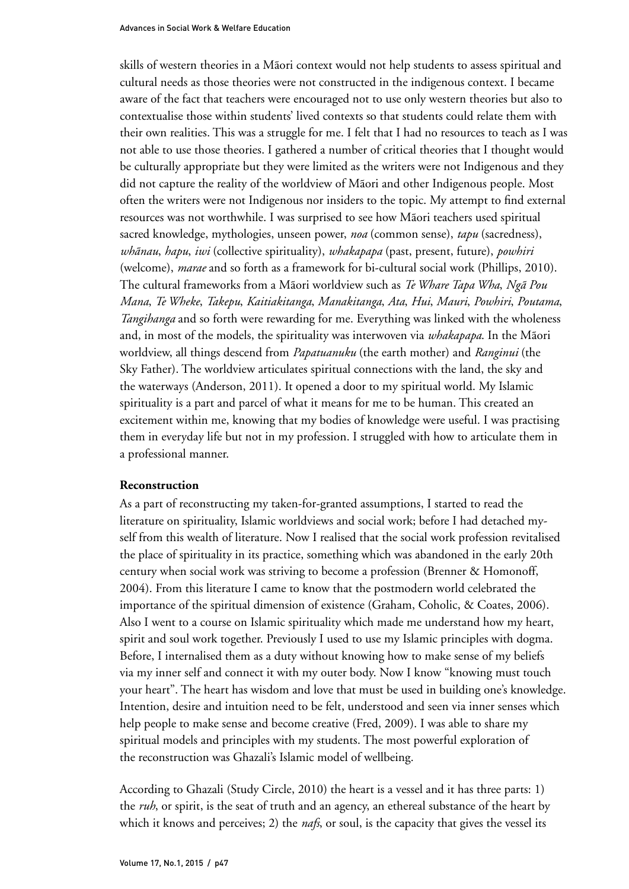skills of western theories in a Mãori context would not help students to assess spiritual and cultural needs as those theories were not constructed in the indigenous context. I became aware of the fact that teachers were encouraged not to use only western theories but also to contextualise those within students' lived contexts so that students could relate them with their own realities. This was a struggle for me. I felt that I had no resources to teach as I was not able to use those theories. I gathered a number of critical theories that I thought would be culturally appropriate but they were limited as the writers were not Indigenous and they did not capture the reality of the worldview of Mãori and other Indigenous people. Most often the writers were not Indigenous nor insiders to the topic. My attempt to find external resources was not worthwhile. I was surprised to see how Mãori teachers used spiritual sacred knowledge, mythologies, unseen power, *noa* (common sense), *tapu* (sacredness), *whãnau*, *hapu*, *iwi* (collective spirituality), *whakapapa* (past, present, future), *powhiri* (welcome), *marae* and so forth as a framework for bi-cultural social work (Phillips, 2010). The cultural frameworks from a Mãori worldview such as *Te Whare Tapa Wha*, *Ngã Pou Mana*, *Te Wheke*, *Takepu*, *Kaitiakitanga*, *Manakitanga*, *Ata*, *Hui*, *Mauri*, *Powhiri*, *Poutama*, *Tangihanga* and so forth were rewarding for me. Everything was linked with the wholeness and, in most of the models, the spirituality was interwoven via *whakapapa*. In the Mãori worldview, all things descend from *Papatuanuku* (the earth mother) and *Ranginui* (the Sky Father). The worldview articulates spiritual connections with the land, the sky and the waterways (Anderson, 2011). It opened a door to my spiritual world. My Islamic spirituality is a part and parcel of what it means for me to be human. This created an excitement within me, knowing that my bodies of knowledge were useful. I was practising them in everyday life but not in my profession. I struggled with how to articulate them in a professional manner.

#### **Reconstruction**

As a part of reconstructing my taken-for-granted assumptions, I started to read the literature on spirituality, Islamic worldviews and social work; before I had detached myself from this wealth of literature. Now I realised that the social work profession revitalised the place of spirituality in its practice, something which was abandoned in the early 20th century when social work was striving to become a profession (Brenner & Homonoff, 2004). From this literature I came to know that the postmodern world celebrated the importance of the spiritual dimension of existence (Graham, Coholic, & Coates, 2006). Also I went to a course on Islamic spirituality which made me understand how my heart, spirit and soul work together. Previously I used to use my Islamic principles with dogma. Before, I internalised them as a duty without knowing how to make sense of my beliefs via my inner self and connect it with my outer body. Now I know "knowing must touch your heart". The heart has wisdom and love that must be used in building one's knowledge. Intention, desire and intuition need to be felt, understood and seen via inner senses which help people to make sense and become creative (Fred, 2009). I was able to share my spiritual models and principles with my students. The most powerful exploration of the reconstruction was Ghazali's Islamic model of wellbeing.

According to Ghazali (Study Circle, 2010) the heart is a vessel and it has three parts: 1) the *ruh*, or spirit, is the seat of truth and an agency, an ethereal substance of the heart by which it knows and perceives; 2) the *nafs*, or soul, is the capacity that gives the vessel its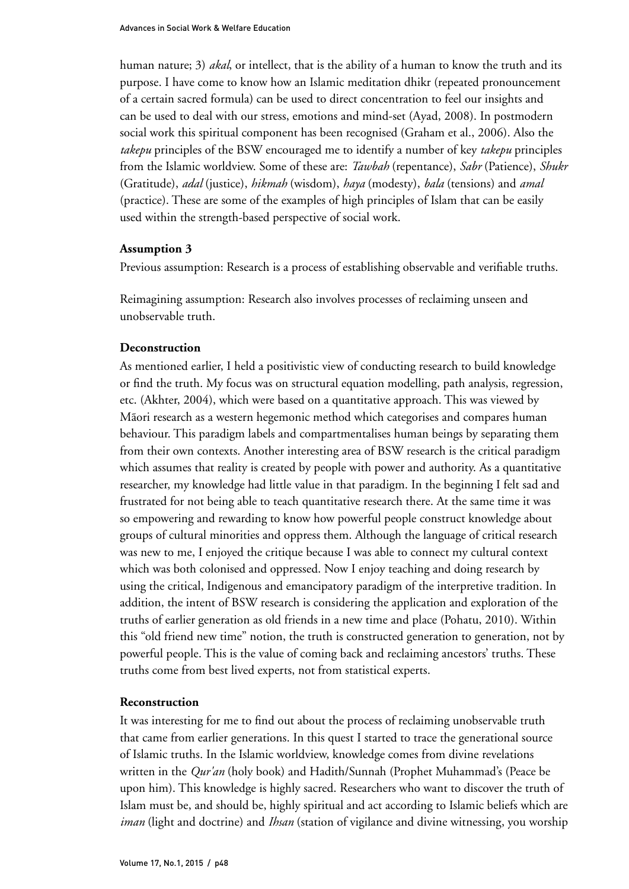human nature; 3) *akal*, or intellect, that is the ability of a human to know the truth and its purpose. I have come to know how an Islamic meditation dhikr (repeated pronouncement of a certain sacred formula) can be used to direct concentration to feel our insights and can be used to deal with our stress, emotions and mind-set (Ayad, 2008). In postmodern social work this spiritual component has been recognised (Graham et al., 2006). Also the *takepu* principles of the BSW encouraged me to identify a number of key *takepu* principles from the Islamic worldview. Some of these are: *Tawbah* (repentance), *Sabr* (Patience), *Shukr* (Gratitude), *adal* (justice), *hikmah* (wisdom), *haya* (modesty), *bala* (tensions) and *amal* (practice). These are some of the examples of high principles of Islam that can be easily used within the strength-based perspective of social work.

#### **Assumption 3**

Previous assumption: Research is a process of establishing observable and verifiable truths.

Reimagining assumption: Research also involves processes of reclaiming unseen and unobservable truth.

#### **Deconstruction**

As mentioned earlier, I held a positivistic view of conducting research to build knowledge or find the truth. My focus was on structural equation modelling, path analysis, regression, etc. (Akhter, 2004), which were based on a quantitative approach. This was viewed by Mãori research as a western hegemonic method which categorises and compares human behaviour. This paradigm labels and compartmentalises human beings by separating them from their own contexts. Another interesting area of BSW research is the critical paradigm which assumes that reality is created by people with power and authority. As a quantitative researcher, my knowledge had little value in that paradigm. In the beginning I felt sad and frustrated for not being able to teach quantitative research there. At the same time it was so empowering and rewarding to know how powerful people construct knowledge about groups of cultural minorities and oppress them. Although the language of critical research was new to me, I enjoyed the critique because I was able to connect my cultural context which was both colonised and oppressed. Now I enjoy teaching and doing research by using the critical, Indigenous and emancipatory paradigm of the interpretive tradition. In addition, the intent of BSW research is considering the application and exploration of the truths of earlier generation as old friends in a new time and place (Pohatu, 2010). Within this "old friend new time" notion, the truth is constructed generation to generation, not by powerful people. This is the value of coming back and reclaiming ancestors' truths. These truths come from best lived experts, not from statistical experts.

#### **Reconstruction**

It was interesting for me to find out about the process of reclaiming unobservable truth that came from earlier generations. In this quest I started to trace the generational source of Islamic truths. In the Islamic worldview, knowledge comes from divine revelations written in the *Qur'an* (holy book) and Hadith/Sunnah (Prophet Muhammad's (Peace be upon him). This knowledge is highly sacred. Researchers who want to discover the truth of Islam must be, and should be, highly spiritual and act according to Islamic beliefs which are *iman* (light and doctrine) and *Ihsan* (station of vigilance and divine witnessing, you worship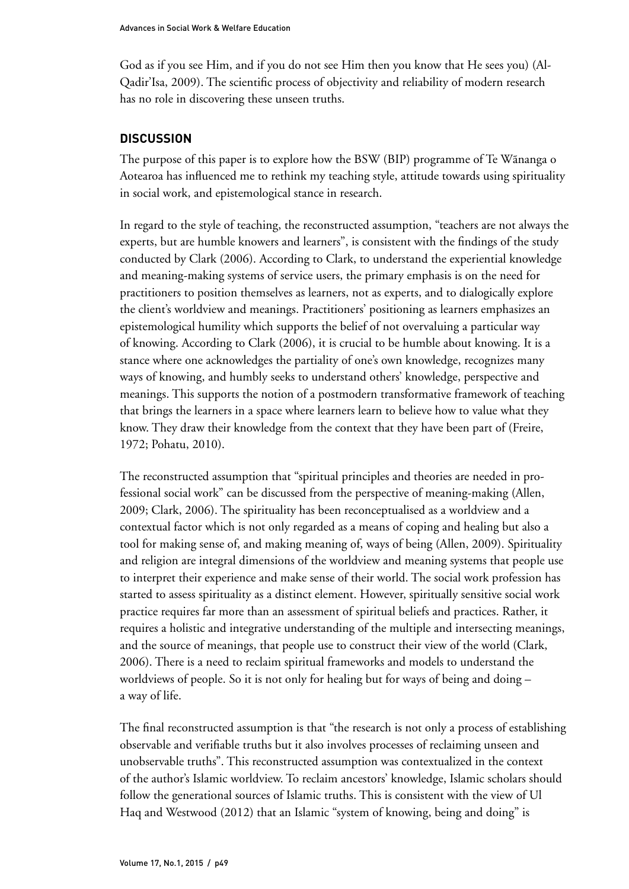God as if you see Him, and if you do not see Him then you know that He sees you) (Al-Qadir'Isa, 2009). The scientific process of objectivity and reliability of modern research has no role in discovering these unseen truths.

## **DISCUSSION**

The purpose of this paper is to explore how the BSW (BIP) programme of Te Wãnanga o Aotearoa has influenced me to rethink my teaching style, attitude towards using spirituality in social work, and epistemological stance in research.

In regard to the style of teaching, the reconstructed assumption, "teachers are not always the experts, but are humble knowers and learners", is consistent with the findings of the study conducted by Clark (2006). According to Clark, to understand the experiential knowledge and meaning-making systems of service users, the primary emphasis is on the need for practitioners to position themselves as learners, not as experts, and to dialogically explore the client's worldview and meanings. Practitioners' positioning as learners emphasizes an epistemological humility which supports the belief of not overvaluing a particular way of knowing. According to Clark (2006), it is crucial to be humble about knowing. It is a stance where one acknowledges the partiality of one's own knowledge, recognizes many ways of knowing, and humbly seeks to understand others' knowledge, perspective and meanings. This supports the notion of a postmodern transformative framework of teaching that brings the learners in a space where learners learn to believe how to value what they know. They draw their knowledge from the context that they have been part of (Freire, 1972; Pohatu, 2010).

The reconstructed assumption that "spiritual principles and theories are needed in professional social work" can be discussed from the perspective of meaning-making (Allen, 2009; Clark, 2006). The spirituality has been reconceptualised as a worldview and a contextual factor which is not only regarded as a means of coping and healing but also a tool for making sense of, and making meaning of, ways of being (Allen, 2009). Spirituality and religion are integral dimensions of the worldview and meaning systems that people use to interpret their experience and make sense of their world. The social work profession has started to assess spirituality as a distinct element. However, spiritually sensitive social work practice requires far more than an assessment of spiritual beliefs and practices. Rather, it requires a holistic and integrative understanding of the multiple and intersecting meanings, and the source of meanings, that people use to construct their view of the world (Clark, 2006). There is a need to reclaim spiritual frameworks and models to understand the worldviews of people. So it is not only for healing but for ways of being and doing – a way of life.

The final reconstructed assumption is that "the research is not only a process of establishing observable and verifiable truths but it also involves processes of reclaiming unseen and unobservable truths". This reconstructed assumption was contextualized in the context of the author's Islamic worldview. To reclaim ancestors' knowledge, Islamic scholars should follow the generational sources of Islamic truths. This is consistent with the view of Ul Haq and Westwood (2012) that an Islamic "system of knowing, being and doing" is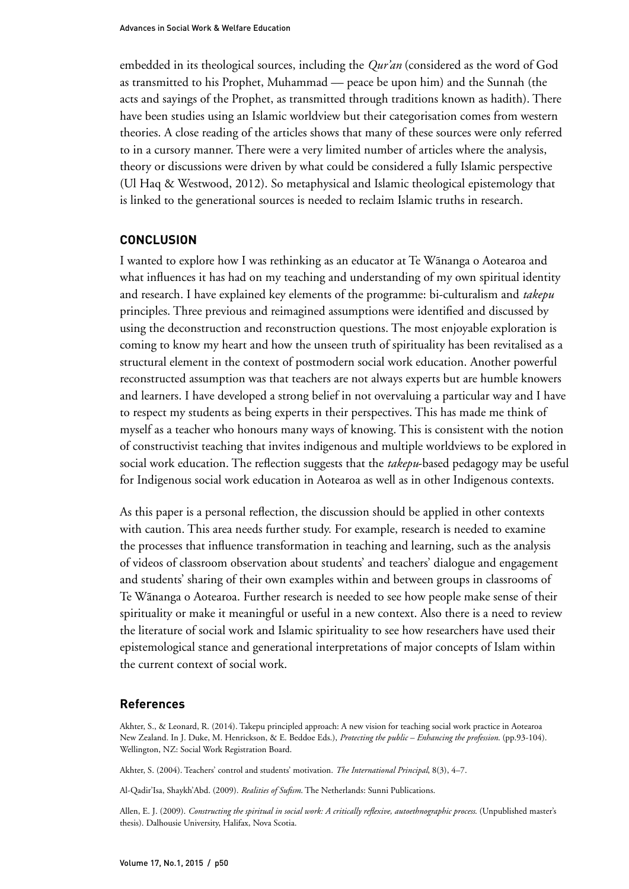embedded in its theological sources, including the *Qur'an* (considered as the word of God as transmitted to his Prophet, Muhammad –– peace be upon him) and the Sunnah (the acts and sayings of the Prophet, as transmitted through traditions known as hadith). There have been studies using an Islamic worldview but their categorisation comes from western theories. A close reading of the articles shows that many of these sources were only referred to in a cursory manner. There were a very limited number of articles where the analysis, theory or discussions were driven by what could be considered a fully Islamic perspective (Ul Haq & Westwood, 2012). So metaphysical and Islamic theological epistemology that is linked to the generational sources is needed to reclaim Islamic truths in research.

#### **CONCLUSION**

I wanted to explore how I was rethinking as an educator at Te Wãnanga o Aotearoa and what influences it has had on my teaching and understanding of my own spiritual identity and research. I have explained key elements of the programme: bi-culturalism and *takepu* principles. Three previous and reimagined assumptions were identified and discussed by using the deconstruction and reconstruction questions. The most enjoyable exploration is coming to know my heart and how the unseen truth of spirituality has been revitalised as a structural element in the context of postmodern social work education. Another powerful reconstructed assumption was that teachers are not always experts but are humble knowers and learners. I have developed a strong belief in not overvaluing a particular way and I have to respect my students as being experts in their perspectives. This has made me think of myself as a teacher who honours many ways of knowing. This is consistent with the notion of constructivist teaching that invites indigenous and multiple worldviews to be explored in social work education. The reflection suggests that the *takepu*-based pedagogy may be useful for Indigenous social work education in Aotearoa as well as in other Indigenous contexts.

As this paper is a personal reflection, the discussion should be applied in other contexts with caution. This area needs further study. For example, research is needed to examine the processes that influence transformation in teaching and learning, such as the analysis of videos of classroom observation about students' and teachers' dialogue and engagement and students' sharing of their own examples within and between groups in classrooms of Te Wãnanga o Aotearoa. Further research is needed to see how people make sense of their spirituality or make it meaningful or useful in a new context. Also there is a need to review the literature of social work and Islamic spirituality to see how researchers have used their epistemological stance and generational interpretations of major concepts of Islam within the current context of social work.

#### **References**

Akhter, S., & Leonard, R. (2014). Takepu principled approach: A new vision for teaching social work practice in Aotearoa New Zealand. In J. Duke, M. Henrickson, & E. Beddoe Eds.), *Protecting the public – Enhancing the profession*. (pp.93-104). Wellington, NZ: Social Work Registration Board.

Akhter, S. (2004). Teachers' control and students' motivation. *The International Principal*, 8(3), 4–7.

Al-Qadir'Isa, Shaykh'Abd. (2009). *Realities of Sufism*. The Netherlands: Sunni Publications.

Allen, E. J. (2009). *Constructing the spiritual in social work: A critically reflexive, autoethnographic process*. (Unpublished master's thesis). Dalhousie University, Halifax, Nova Scotia.